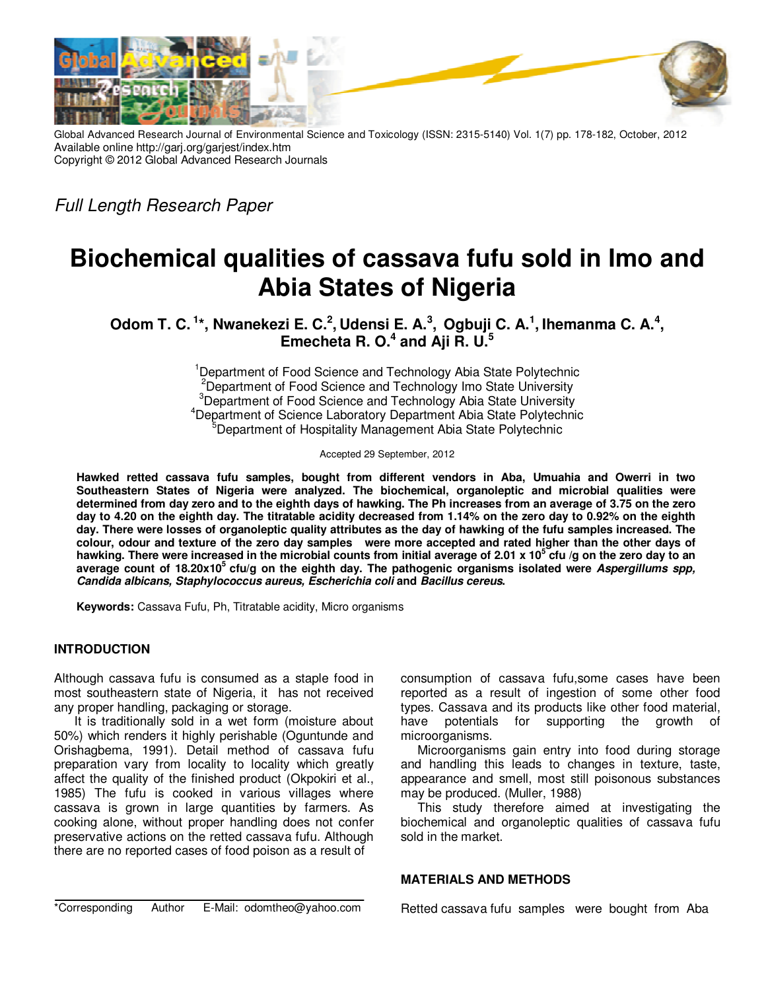

Global Advanced Research Journal of Environmental Science and Toxicology (ISSN: 2315-5140) Vol. 1(7) pp. 178-182, October, 2012 Available online http://garj.org/garjest/index.htm Copyright © 2012 Global Advanced Research Journals

Full Length Research Paper

# **Biochemical qualities of cassava fufu sold in Imo and Abia States of Nigeria**

**Odom T. C.<sup>1</sup>\*, Nwanekezi E. C.<sup>2</sup> , Udensi E. A.<sup>3</sup> , Ogbuji C. A.<sup>1</sup> , Ihemanma C. A.<sup>4</sup> , Emecheta R. O.<sup>4</sup> and Aji R. U.<sup>5</sup>**

> <sup>1</sup>Department of Food Science and Technology Abia State Polytechnic <sup>2</sup>Department of Food Science and Technology Imo State University <sup>3</sup>Department of Food Science and Technology Abia State University <sup>4</sup>Department of Science Laboratory Department Abia State Polytechnic <sup>5</sup>Department of Hospitality Management Abia State Polytechnic

> > Accepted 29 September, 2012

**Hawked retted cassava fufu samples, bought from different vendors in Aba, Umuahia and Owerri in two Southeastern States of Nigeria were analyzed. The biochemical, organoleptic and microbial qualities were determined from day zero and to the eighth days of hawking. The Ph increases from an average of 3.75 on the zero day to 4.20 on the eighth day. The titratable acidity decreased from 1.14% on the zero day to 0.92% on the eighth day. There were losses of organoleptic quality attributes as the day of hawking of the fufu samples increased. The colour, odour and texture of the zero day samples were more accepted and rated higher than the other days of hawking. There were increased in the microbial counts from initial average of 2.01 x 10<sup>5</sup> cfu /g on the zero day to an average count of 18.20x10<sup>5</sup>cfu/g on the eighth day. The pathogenic organisms isolated were Aspergillums spp, Candida albicans, Staphylococcus aureus, Escherichia coli and Bacillus cereus.** 

**Keywords:** Cassava Fufu, Ph, Titratable acidity, Micro organisms

### **INTRODUCTION**

Although cassava fufu is consumed as a staple food in most southeastern state of Nigeria, it has not received any proper handling, packaging or storage.

 It is traditionally sold in a wet form (moisture about 50%) which renders it highly perishable (Oguntunde and Orishagbema, 1991). Detail method of cassava fufu preparation vary from locality to locality which greatly affect the quality of the finished product (Okpokiri et al., 1985) The fufu is cooked in various villages where cassava is grown in large quantities by farmers. As cooking alone, without proper handling does not confer preservative actions on the retted cassava fufu. Although there are no reported cases of food poison as a result of

consumption of cassava fufu,some cases have been reported as a result of ingestion of some other food types. Cassava and its products like other food material, have potentials for supporting the growth of microorganisms.

Microorganisms gain entry into food during storage and handling this leads to changes in texture, taste, appearance and smell, most still poisonous substances may be produced. (Muller, 1988)

This study therefore aimed at investigating the biochemical and organoleptic qualities of cassava fufu sold in the market.

## **MATERIALS AND METHODS**

\*Corresponding Author E-Mail: odomtheo@yahoo.com

Retted cassava fufu samples were bought from Aba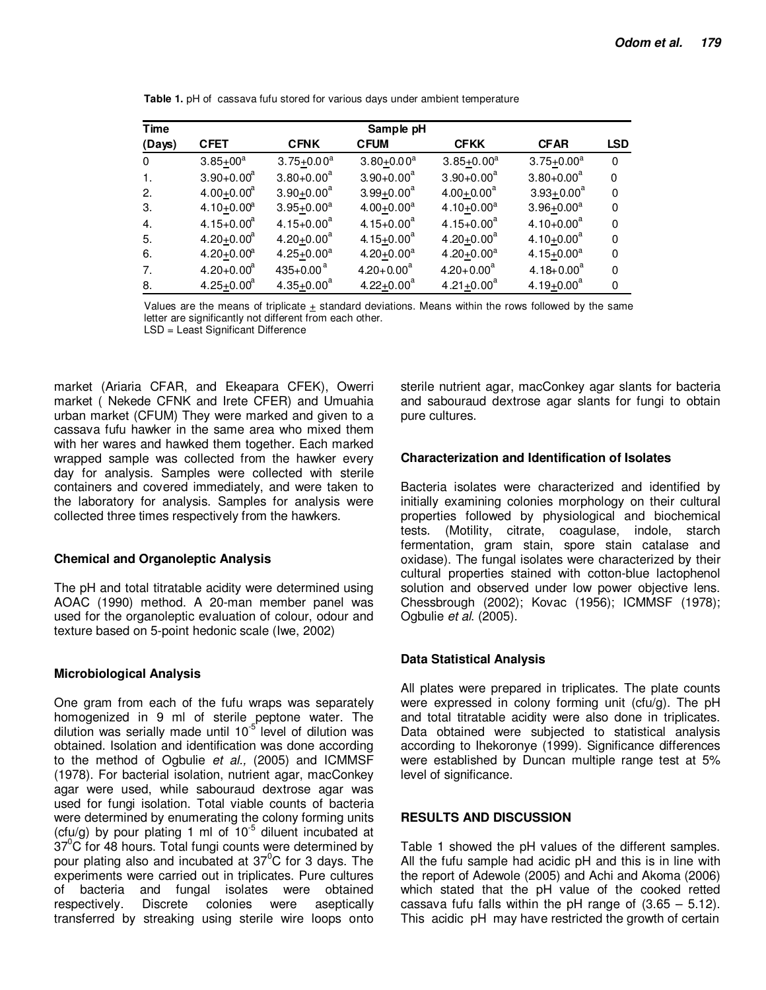| <b>Time</b>  |                              |                 | Sample pH        |                 |                 |             |
|--------------|------------------------------|-----------------|------------------|-----------------|-----------------|-------------|
| (Days)       | <b>CFET</b>                  | <b>CFNK</b>     | <b>CFUM</b>      | <b>CFKK</b>     | <b>CFAR</b>     | <b>LSD</b>  |
| $\Omega$     | $3.85 + 00^a$                | $3.75 + 0.00^a$ | $3.80 + 0.00^a$  | $3.85 + 0.00^a$ | $3.75 + 0.00^a$ | $\mathbf 0$ |
|              | $3.90 + 0.00^a$              | $3.80 + 0.00^a$ | $3.90 + 0.00^a$  | $3.90 + 0.00^a$ | $3.80 + 0.00^a$ | $\mathbf 0$ |
| $\mathbf{2}$ | $4.00 + 0.00a$               | $3.90 + 0.00^a$ | $3.99 + 0.00^a$  | $4.00 + 0.00^a$ | $3.93 + 0.00^a$ | 0           |
| 3.           | 4.10 $\pm$ 0.00 <sup>a</sup> | $3.95 + 0.00^a$ | $4.00 + 0.00^a$  | $4.10 + 0.00^a$ | $3.96 + 0.00^a$ | 0           |
| 4.           | $4.15 + 0.00^a$              | $4.15 + 0.00^a$ | $4.15 + 0.00^a$  | $4.15 + 0.00^a$ | $4.10 + 0.00^a$ | $\mathbf 0$ |
| 5.           | $4.20 + 0.00^a$              | $4.20 + 0.00^a$ | 4.15+0.00 $^{a}$ | $4.20 + 0.00^a$ | $4.10 + 0.00^a$ | $\mathbf 0$ |
| 6.           | $4.20 + 0.00a$               | $4.25 + 0.00^a$ | $4.20 + 0.00^a$  | $4.20 + 0.00^a$ | $4.15 + 0.00^a$ | 0           |
| 7.           | $4.20 + 0.00^a$              | 435+0.00 $^{a}$ | $4.20 + 0.00^a$  | $4.20 + 0.00^a$ | $4.18 + 0.00^a$ | $\mathbf 0$ |
| 8.           | $4.25 + 0.00^a$              | $4.35 + 0.00^a$ | $4.22 + 0.00^a$  | $4.21 + 0.00^a$ | $4.19 + 0.00^a$ | 0           |

Table 1. pH of cassava fufu stored for various days under ambient temperature

Values are the means of triplicate + standard deviations. Means within the rows followed by the same letter are significantly not different from each other.

LSD = Least Significant Difference

market (Ariaria CFAR, and Ekeapara CFEK), Owerri market (Nekede CFNK and Irete CFER) and Umuahia urban market (CFUM) They were marked and given to a cassava fufu hawker in the same area who mixed them with her wares and hawked them together. Each marked wrapped sample was collected from the hawker every day for analysis. Samples were collected with sterile containers and covered immediately, and were taken to the laboratory for analysis. Samples for analysis were collected three times respectively from the hawkers.

### **Chemical and Organoleptic Analysis**

The pH and total titratable acidity were determined using AOAC (1990) method. A 20-man member panel was used for the organoleptic evaluation of colour, odour and texture based on 5-point hedonic scale (Iwe, 2002)

### **Microbiological Analysis**

One gram from each of the fufu wraps was separately homogenized in 9 ml of sterile peptone water. The dilution was serially made until 10<sup>-5'</sup> level of dilution was obtained. Isolation and identification was done according to the method of Ogbulie et al., (2005) and ICMMSF (1978). For bacterial isolation, nutrient agar, macConkey agar were used, while sabouraud dextrose agar was used for fungi isolation. Total viable counts of bacteria were determined by enumerating the colony forming units (cfu/g) by pour plating 1 ml of  $10^{-5}$  diluent incubated at  $37^{\circ}$ C for 48 hours. Total fungi counts were determined by pour plating also and incubated at 37<sup>°</sup>C for 3 days. The experiments were carried out in triplicates. Pure cultures of bacteria and fungal isolates were obtained **Discrete** colonies respectively. were aseptically transferred by streaking using sterile wire loops onto

sterile nutrient agar, macConkey agar slants for bacteria and sabouraud dextrose agar slants for fungi to obtain pure cultures.

### **Characterization and Identification of Isolates**

Bacteria isolates were characterized and identified by initially examining colonies morphology on their cultural properties followed by physiological and biochemical (Motility, citrate, coagulase, indole, starch tests. fermentation, gram stain, spore stain catalase and oxidase). The fungal isolates were characterized by their cultural properties stained with cotton-blue lactophenol solution and observed under low power objective lens. Chessbrough (2002); Kovac (1956); ICMMSF (1978); Ogbulie et al. (2005).

### **Data Statistical Analysis**

All plates were prepared in triplicates. The plate counts were expressed in colony forming unit (cfu/g). The pH and total titratable acidity were also done in triplicates. Data obtained were subjected to statistical analysis according to Ihekoronye (1999). Significance differences were established by Duncan multiple range test at 5% level of significance.

### **RESULTS AND DISCUSSION**

Table 1 showed the pH values of the different samples. All the fufu sample had acidic pH and this is in line with the report of Adewole (2005) and Achi and Akoma (2006) which stated that the pH value of the cooked retted cassava fufu falls within the pH range of  $(3.65 - 5.12)$ . This acidic pH may have restricted the growth of certain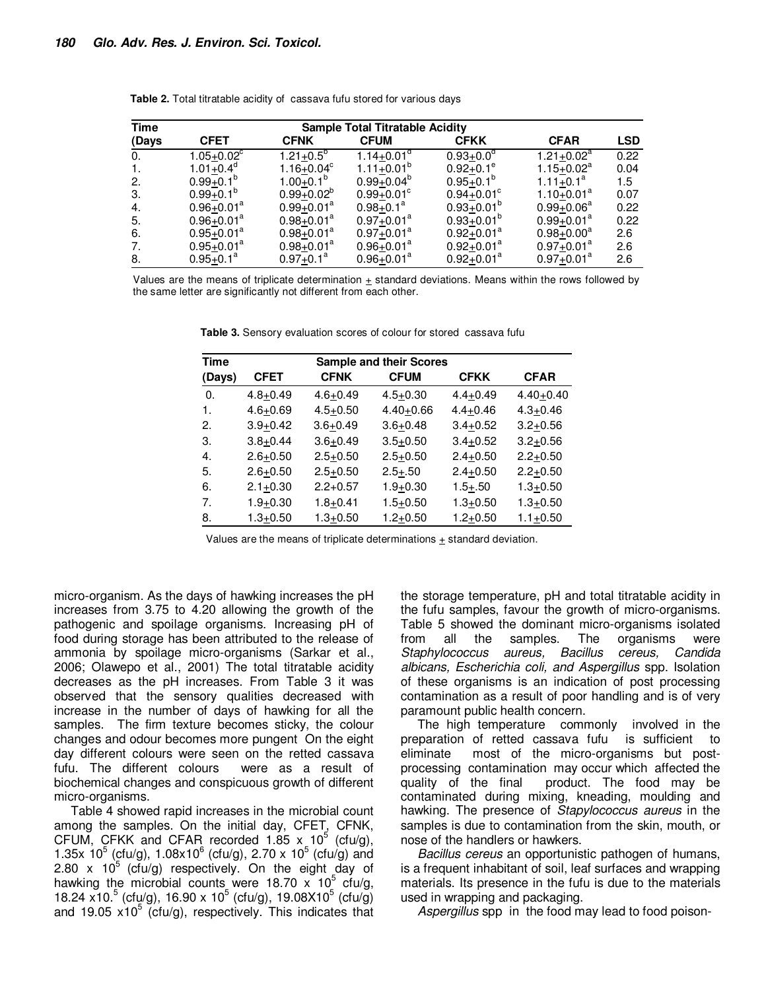| <b>Time</b> | <b>Sample Total Titratable Acidity</b> |                 |                              |                        |                              |            |  |  |  |  |  |
|-------------|----------------------------------------|-----------------|------------------------------|------------------------|------------------------------|------------|--|--|--|--|--|
| (Days       | <b>CFET</b>                            | <b>CFNK</b>     | <b>CFUM</b>                  | <b>CFKK</b>            | <b>CFAR</b>                  | <b>LSD</b> |  |  |  |  |  |
| 0.          | $1.05 + 0.02$ <sup>c</sup>             | $1.21+0.5^{6}$  | $1.14 + 0.01$ <sup>a</sup>   | $0.93 + 0.0^d$         | $1.21+0.02^{\overline{a}}$   | 0.22       |  |  |  |  |  |
| -1.         | 1.01 $\pm$ 0.4 <sup>d</sup>            | $1.16 + 0.04^c$ | 1.11 $\pm$ 0.01 <sup>b</sup> | $0.92 \pm 0.1^{\circ}$ | 1.15 $\pm$ 0.02 <sup>a</sup> | 0.04       |  |  |  |  |  |
| 2.          | $0.99 + 0.1^b$                         | $1.00 + 0.1^b$  | $0.99 + 0.04^b$              | $0.95 + 0.1^b$         | $1.11+0.1^a$                 | 1.5        |  |  |  |  |  |
| 3.          | $0.99 + 0.1^b$                         | $0.99+0.02^b$   | $0.99 + 0.01^{\circ}$        | $0.94 + 0.01^{\circ}$  | $1.10 + 0.01^a$              | 0.07       |  |  |  |  |  |
| 4.          | $0.96 + 0.01^a$                        | $0.99 + 0.01^a$ | $0.98 + 0.1^a$               | $0.93 + 0.01^b$        | $0.99 + 0.06^a$              | 0.22       |  |  |  |  |  |
| 5.          | $0.96 + 0.01^a$                        | $0.98 + 0.01^a$ | $0.97 + 0.01^a$              | $0.93 + 0.01^b$        | $0.99 + 0.01^a$              | 0.22       |  |  |  |  |  |
| 6.          | $0.95 + 0.01^a$                        | $0.98 + 0.01^a$ | $0.97 + 0.01^a$              | $0.92 + 0.01^a$        | $0.98 + 0.00^a$              | 2.6        |  |  |  |  |  |
| 7.          | $0.95 \pm 0.01^a$                      | $0.98 + 0.01^a$ | $0.96 + 0.01^a$              | $0.92 + 0.01^a$        | $0.97 + 0.01^a$              | 2.6        |  |  |  |  |  |
| 8.          | $0.95 + 0.1^a$                         | $0.97 + 0.1^a$  | $0.96 + 0.01^a$              | $0.92 + 0.01^a$        | $0.97 + 0.01^a$              | 2.6        |  |  |  |  |  |

Table 2. Total titratable acidity of cassava fufu stored for various days

Values are the means of triplicate determination  $\pm$  standard deviations. Means within the rows followed by the same letter are significantly not different from each other.

| Time   | <b>Sample and their Scores</b> |              |               |              |               |  |  |  |  |  |  |  |  |
|--------|--------------------------------|--------------|---------------|--------------|---------------|--|--|--|--|--|--|--|--|
| (Days) | <b>CFET</b>                    | <b>CFNK</b>  | <b>CFUM</b>   | <b>CFKK</b>  | <b>CFAR</b>   |  |  |  |  |  |  |  |  |
| 0.     | $4.8 + 0.49$                   | $4.6 + 0.49$ | $4.5 + 0.30$  | $4.4 + 0.49$ | $4.40 + 0.40$ |  |  |  |  |  |  |  |  |
| 1.     | $4.6 + 0.69$                   | $4.5 + 0.50$ | $4.40 + 0.66$ | $4.4 + 0.46$ | $4.3 + 0.46$  |  |  |  |  |  |  |  |  |
| 2.     | $3.9 + 0.42$                   | $3.6 + 0.49$ | $3.6 + 0.48$  | $3.4 + 0.52$ | $3.2 + 0.56$  |  |  |  |  |  |  |  |  |
| 3.     | $3.8 + 0.44$                   | $3.6 + 0.49$ | $3.5 + 0.50$  | $3.4 + 0.52$ | $3.2 + 0.56$  |  |  |  |  |  |  |  |  |
| 4.     | $2.6 + 0.50$                   | $2.5 + 0.50$ | $2.5 + 0.50$  | $2.4 + 0.50$ | $2.2 + 0.50$  |  |  |  |  |  |  |  |  |
| 5.     | $2.6 + 0.50$                   | $2.5 + 0.50$ | $2.5 + .50$   | $2.4 + 0.50$ | $2.2 + 0.50$  |  |  |  |  |  |  |  |  |
| 6.     | $2.1 + 0.30$                   | $2.2 + 0.57$ | $1.9 + 0.30$  | $1.5 + .50$  | $1.3 + 0.50$  |  |  |  |  |  |  |  |  |
| 7.     | $1.9 + 0.30$                   | $1.8 + 0.41$ | $1.5 + 0.50$  | $1.3 + 0.50$ | $1.3 + 0.50$  |  |  |  |  |  |  |  |  |
| 8.     | $1.3 + 0.50$                   | $1.3 + 0.50$ | $1.2 + 0.50$  | $1.2 + 0.50$ | $1.1 + 0.50$  |  |  |  |  |  |  |  |  |

Table 3. Sensory evaluation scores of colour for stored cassava fufu

Values are the means of triplicate determinations  $\pm$  standard deviation.

micro-organism. As the days of hawking increases the pH increases from 3.75 to 4.20 allowing the growth of the pathogenic and spoilage organisms. Increasing pH of food during storage has been attributed to the release of ammonia by spoilage micro-organisms (Sarkar et al., 2006; Olawepo et al., 2001) The total titratable acidity decreases as the pH increases. From Table 3 it was observed that the sensory qualities decreased with increase in the number of days of hawking for all the samples. The firm texture becomes sticky, the colour changes and odour becomes more pungent On the eight day different colours were seen on the retted cassava fufu. The different colours were as a result of biochemical changes and conspicuous growth of different micro-organisms.

Table 4 showed rapid increases in the microbial count among the samples. On the initial day, CFET, CFNK, CFUM, CFKK and CFAR recorded  $1.85 \times 10^5$  (cfu/g), 1.35x  $10^5$  (cfu/g), 1.08x10<sup>6</sup> (cfu/g), 2.70 x 10<sup>5</sup> (cfu/g) and 2.80 x  $10^5$  (cfu/g) respectively. On the eight day of hawking the microbial counts were 18.70 x  $10^5$  cfu/g, 18.24 x10.<sup>5</sup> (cfu/g), 16.90 x 10<sup>5</sup> (cfu/g), 19.08X10<sup>5</sup> (cfu/g) and 19.05  $x10^5$  (cfu/g), respectively. This indicates that

the storage temperature, pH and total titratable acidity in the fufu samples, favour the growth of micro-organisms. Table 5 showed the dominant micro-organisms isolated from all the samples. The organisms were Staphylococcus aureus, Bacillus cereus, Candida albicans, Escherichia coli, and Aspergillus spp. Isolation of these organisms is an indication of post processing contamination as a result of poor handling and is of very paramount public health concern.

The high temperature commonly involved in the preparation of retted cassava fufu is sufficient to eliminate most of the micro-organisms but postprocessing contamination may occur which affected the quality of the final product. The food may be contaminated during mixing, kneading, moulding and hawking. The presence of Stapylococcus aureus in the samples is due to contamination from the skin, mouth, or nose of the handlers or hawkers.

Bacillus cereus an opportunistic pathogen of humans, is a frequent inhabitant of soil, leaf surfaces and wrapping materials. Its presence in the fufu is due to the materials used in wrapping and packaging.

Aspergillus spp in the food may lead to food poison-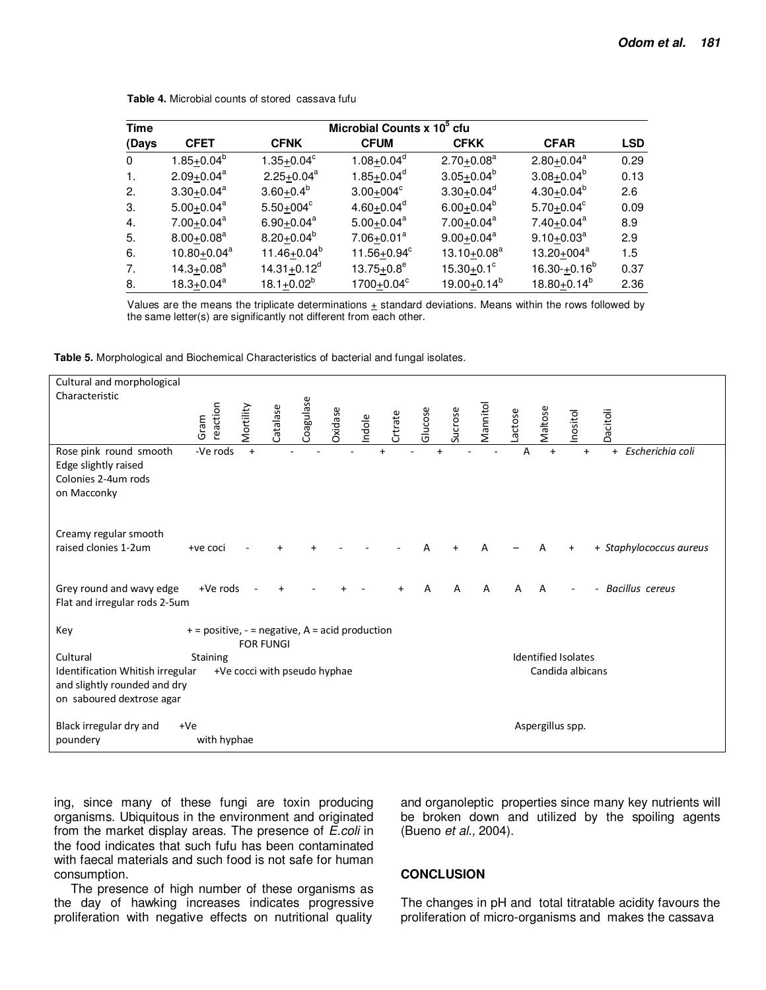| <b>Time</b> | Microbial Counts x 10 <sup>5</sup> cfu |                            |                              |                              |                              |            |  |  |  |  |
|-------------|----------------------------------------|----------------------------|------------------------------|------------------------------|------------------------------|------------|--|--|--|--|
| (Days       | <b>CFET</b>                            | <b>CFNK</b>                | <b>CFUM</b>                  | <b>CFKK</b>                  | <b>CFAR</b>                  | <b>LSD</b> |  |  |  |  |
| $\Omega$    | $1.85+0.04^b$                          | $1.35+0.04^c$              | $1.08 + 0.04^d$              | $2.70 + 0.08^a$              | $2.80 + 0.04^a$              | 0.29       |  |  |  |  |
| -1.         | $2.09 + 0.04^a$                        | $2.25 + 0.04^a$            | $1.85 + 0.04^d$              | $3.05 + 0.04^b$              | $3.08 + 0.04^b$              | 0.13       |  |  |  |  |
| 2.          | $3.30+0.04^a$                          | $3.60+0.4^b$               | $3.00 + 004$ <sup>c</sup>    | $3.30 \pm 0.04$ <sup>d</sup> | 4.30 $\pm$ 0.04 <sup>b</sup> | 2.6        |  |  |  |  |
| 3.          | $5.00+0.04^a$                          | $5.50+004^c$               | $4.60 \pm 0.04$ <sup>d</sup> | $6.00 + 0.04^b$              | $5.70 + 0.04^c$              | 0.09       |  |  |  |  |
| 4.          | $7.00 + 0.04$ <sup>a</sup>             | $6.90 + 0.04$ <sup>a</sup> | $5.00 + 0.04$ <sup>a</sup>   | $7.00 + 0.04$ <sup>a</sup>   | $7.40 + 0.04$ <sup>a</sup>   | 8.9        |  |  |  |  |
| 5.          | $8.00 + 0.08$ <sup>a</sup>             | $8.20+0.04^b$              | $7.06 + 0.01a$               | $9.00 + 0.04$ <sup>a</sup>   | $9.10 + 0.03^a$              | 2.9        |  |  |  |  |
| 6.          | $10.80 + 0.04^a$                       | $11.46 + 0.04^b$           | $11.56 + 0.94^c$             | $13.10 + 0.08^a$             | $13.20 + 004^a$              | 1.5        |  |  |  |  |
| 7.          | $14.3 + 0.08a$                         | $14.31 + 0.12^d$           | $13.75 + 0.8^e$              | $15.30 + 0.1$ <sup>c</sup>   | $16.30 + 0.16^b$             | 0.37       |  |  |  |  |
| 8.          | $18.3 + 0.04^a$                        | $18.1 + 0.02^b$            | $1700 + 0.04^c$              | $19.00 + 0.14^b$             | $18.80 + 0.14^b$             | 2.36       |  |  |  |  |

Table 4. Microbial counts of stored cassava fufu

Values are the means the triplicate determinations  $\pm$  standard deviations. Means within the rows followed by the same letter(s) are significantly not different from each other.

|  |  | Table 5. Morphological and Biochemical Characteristics of bacterial and fungal isolates. |  |  |  |  |
|--|--|------------------------------------------------------------------------------------------|--|--|--|--|
|--|--|------------------------------------------------------------------------------------------|--|--|--|--|

| Cultural and morphological                     |                                                   |           |                              |           |         |        |         |         |         |          |         |                  |                            |                         |
|------------------------------------------------|---------------------------------------------------|-----------|------------------------------|-----------|---------|--------|---------|---------|---------|----------|---------|------------------|----------------------------|-------------------------|
| Characteristic                                 |                                                   |           |                              |           |         |        |         |         |         |          |         |                  |                            |                         |
|                                                |                                                   |           |                              |           |         |        |         |         |         |          |         |                  |                            |                         |
|                                                |                                                   |           |                              |           |         |        |         |         |         |          |         |                  |                            |                         |
|                                                | reaction<br>Gram                                  | Mortility | Catalase                     | Coagulase | Oxidase | Indole | Crtrate | Glucose | Sucrose | Mannitol | Lactose | Maltose          | Inositol                   | Dacitoli                |
| Rose pink round smooth<br>Edge slightly raised | -Ve rods                                          | $+$       |                              |           |         |        |         |         |         |          | Α       | $\ddot{}$        | $+$                        | Escherichia coli<br>$+$ |
| Colonies 2-4um rods                            |                                                   |           |                              |           |         |        |         |         |         |          |         |                  |                            |                         |
| on Macconky                                    |                                                   |           |                              |           |         |        |         |         |         |          |         |                  |                            |                         |
|                                                |                                                   |           |                              |           |         |        |         |         |         |          |         |                  |                            |                         |
|                                                |                                                   |           |                              |           |         |        |         |         |         |          |         |                  |                            |                         |
| Creamy regular smooth                          |                                                   |           |                              |           |         |        |         |         |         |          |         |                  |                            |                         |
| raised clonies 1-2um                           | +ve coci                                          |           |                              |           |         |        |         |         |         | A        |         |                  |                            | + Staphylococcus aureus |
|                                                |                                                   |           |                              |           |         |        |         |         |         |          |         |                  |                            |                         |
|                                                |                                                   |           |                              |           |         |        |         |         |         |          |         |                  |                            |                         |
| Grey round and wavy edge                       | +Ve rods                                          |           |                              |           |         |        |         |         | А       | A        |         | A                |                            | <b>Bacillus</b> cereus  |
| Flat and irregular rods 2-5um                  |                                                   |           |                              |           |         |        |         |         |         |          |         |                  |                            |                         |
|                                                |                                                   |           |                              |           |         |        |         |         |         |          |         |                  |                            |                         |
| Key                                            | $+$ = positive, - = negative, A = acid production |           |                              |           |         |        |         |         |         |          |         |                  |                            |                         |
|                                                |                                                   |           | <b>FOR FUNGI</b>             |           |         |        |         |         |         |          |         |                  |                            |                         |
| Cultural                                       | Staining                                          |           |                              |           |         |        |         |         |         |          |         |                  | <b>Identified Isolates</b> |                         |
| Identification Whitish irregular               |                                                   |           | +Ve cocci with pseudo hyphae |           |         |        |         |         |         |          |         |                  | Candida albicans           |                         |
| and slightly rounded and dry                   |                                                   |           |                              |           |         |        |         |         |         |          |         |                  |                            |                         |
| on saboured dextrose agar                      |                                                   |           |                              |           |         |        |         |         |         |          |         |                  |                            |                         |
|                                                |                                                   |           |                              |           |         |        |         |         |         |          |         |                  |                            |                         |
| Black irregular dry and                        | $+Ve$                                             |           |                              |           |         |        |         |         |         |          |         | Aspergillus spp. |                            |                         |
| poundery                                       | with hyphae                                       |           |                              |           |         |        |         |         |         |          |         |                  |                            |                         |

ing, since many of these fungi are toxin producing organisms. Ubiquitous in the environment and originated from the market display areas. The presence of E.coli in the food indicates that such fufu has been contaminated with faecal materials and such food is not safe for human consumption.

The presence of high number of these organisms as the day of hawking increases indicates progressive proliferation with negative effects on nutritional quality and organoleptic properties since many key nutrients will be broken down and utilized by the spoiling agents (Bueno et al., 2004).

### **CONCLUSION**

The changes in pH and total titratable acidity favours the proliferation of micro-organisms and makes the cassava